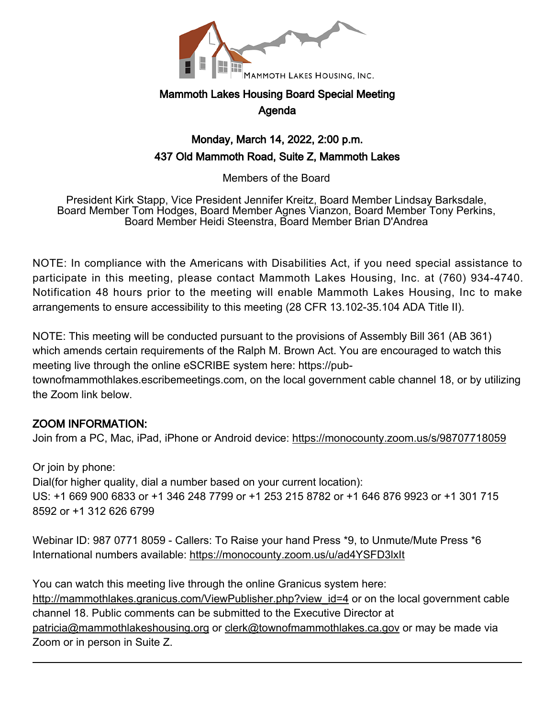

# Mammoth Lakes Housing Board Special Meeting Agenda

## Monday, March 14, 2022, 2:00 p.m. 437 Old Mammoth Road, Suite Z, Mammoth Lakes

Members of the Board

President Kirk Stapp, Vice President Jennifer Kreitz, Board Member Lindsay Barksdale, Board Member Tom Hodges, Board Member Agnes Vianzon, Board Member Tony Perkins, Board Member Heidi Steenstra, Board Member Brian D'Andrea

NOTE: In compliance with the Americans with Disabilities Act, if you need special assistance to participate in this meeting, please contact Mammoth Lakes Housing, Inc. at (760) 934-4740. Notification 48 hours prior to the meeting will enable Mammoth Lakes Housing, Inc to make arrangements to ensure accessibility to this meeting (28 CFR 13.102-35.104 ADA Title II).

NOTE: This meeting will be conducted pursuant to the provisions of Assembly Bill 361 (AB 361) which amends certain requirements of the Ralph M. Brown Act. You are encouraged to watch this meeting live through the online eSCRIBE system here: https://pub-

townofmammothlakes.escribemeetings.com, on the local government cable channel 18, or by utilizing the Zoom link below.

## ZOOM INFORMATION:

Join from a PC, Mac, iPad, iPhone or Android device: <https://monocounty.zoom.us/s/98707718059>

Or join by phone: Dial(for higher quality, dial a number based on your current location): US: +1 669 900 6833 or +1 346 248 7799 or +1 253 215 8782 or +1 646 876 9923 or +1 301 715 8592 or +1 312 626 6799

Webinar ID: 987 0771 8059 - Callers: To Raise your hand Press \*9, to Unmute/Mute Press \*6 International numbers available: <https://monocounty.zoom.us/u/ad4YSFD3lxIt>

You can watch this meeting live through the online Granicus system here: [http://mammothlakes.granicus.com/ViewPublisher.php?view\\_id=4](http://mammothlakes.granicus.com/ViewPublisher.php?view_id=4) or on the local government cable channel 18. Public comments can be submitted to the Executive Director at [patricia@mammothlakeshousing.org](mailto:patricia@mammothlakeshousing.org) or [clerk@townofmammothlakes.ca.gov](mailto:clerk@townofmammothlakes.ca.gov) or may be made via Zoom or in person in Suite Z.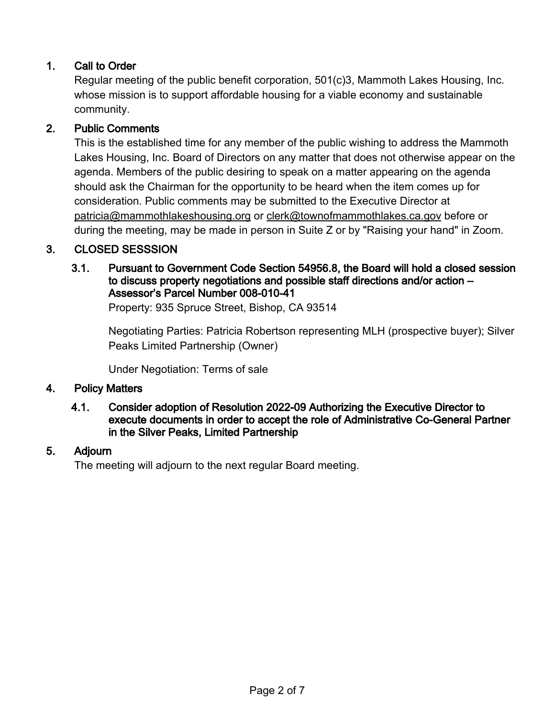## 1. Call to Order

Regular meeting of the public benefit corporation, 501(c)3, Mammoth Lakes Housing, Inc. whose mission is to support affordable housing for a viable economy and sustainable community.

### 2. Public Comments

This is the established time for any member of the public wishing to address the Mammoth Lakes Housing, Inc. Board of Directors on any matter that does not otherwise appear on the agenda. Members of the public desiring to speak on a matter appearing on the agenda should ask the Chairman for the opportunity to be heard when the item comes up for consideration. Public comments may be submitted to the Executive Director at [patricia@mammothlakeshousing.org](mailto:patricia@mammothlakeshousing.org) or [clerk@townofmammothlakes.ca.gov](mailto:clerk@townofmammothlakes.ca.gov) before or during the meeting, may be made in person in Suite Z or by "Raising your hand" in Zoom.

## 3. CLOSED SESSSION

#### 3.1. Pursuant to Government Code Section 54956.8, the Board will hold a closed session to discuss property negotiations and possible staff directions and/or action – Assessor's Parcel Number 008-010-41

Property: 935 Spruce Street, Bishop, CA 93514

Negotiating Parties: Patricia Robertson representing MLH (prospective buyer); Silver Peaks Limited Partnership (Owner)

Under Negotiation: Terms of sale

#### 4. Policy Matters

#### 4.1. Consider adoption of Resolution 2022-09 Authorizing the Executive Director to execute documents in order to accept the role of Administrative Co-General Partner in the Silver Peaks, Limited Partnership

#### 5. Adjourn

The meeting will adjourn to the next regular Board meeting.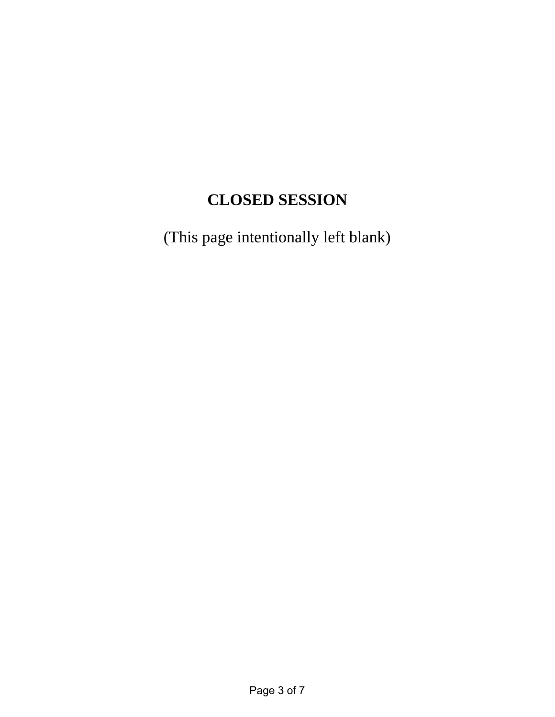# **CLOSED SESSION**

(This page intentionally left blank)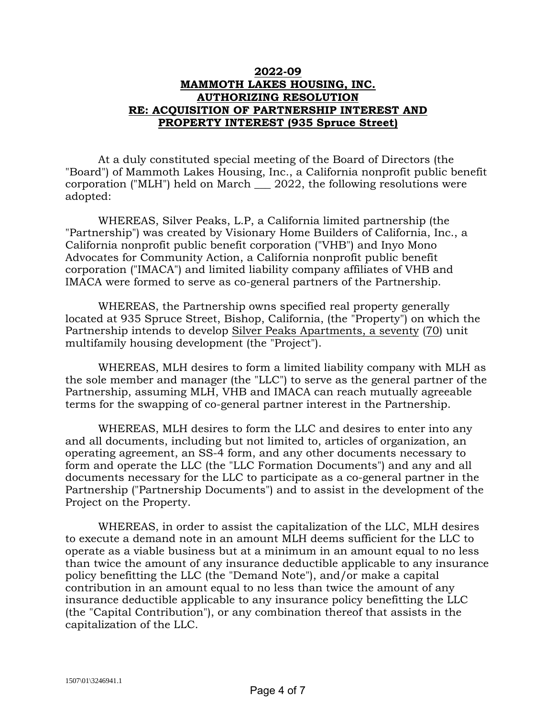#### **2022-09 MAMMOTH LAKES HOUSING, INC. AUTHORIZING RESOLUTION RE: ACQUISITION OF PARTNERSHIP INTEREST AND PROPERTY INTEREST (935 Spruce Street)**

At a duly constituted special meeting of the Board of Directors (the "Board") of Mammoth Lakes Housing, Inc., a California nonprofit public benefit corporation ("MLH") held on March \_\_\_ 2022, the following resolutions were adopted:

WHEREAS, Silver Peaks, L.P, a California limited partnership (the "Partnership") was created by Visionary Home Builders of California, Inc., a California nonprofit public benefit corporation ("VHB") and Inyo Mono Advocates for Community Action, a California nonprofit public benefit corporation ("IMACA") and limited liability company affiliates of VHB and IMACA were formed to serve as co-general partners of the Partnership.

WHEREAS, the Partnership owns specified real property generally located at 935 Spruce Street, Bishop, California, (the "Property") on which the Partnership intends to develop Silver Peaks Apartments, a seventy (70) unit multifamily housing development (the "Project").

WHEREAS, MLH desires to form a limited liability company with MLH as the sole member and manager (the "LLC") to serve as the general partner of the Partnership, assuming MLH, VHB and IMACA can reach mutually agreeable terms for the swapping of co-general partner interest in the Partnership.

WHEREAS, MLH desires to form the LLC and desires to enter into any and all documents, including but not limited to, articles of organization, an operating agreement, an SS-4 form, and any other documents necessary to form and operate the LLC (the "LLC Formation Documents") and any and all documents necessary for the LLC to participate as a co-general partner in the Partnership ("Partnership Documents") and to assist in the development of the Project on the Property.

WHEREAS, in order to assist the capitalization of the LLC, MLH desires to execute a demand note in an amount MLH deems sufficient for the LLC to operate as a viable business but at a minimum in an amount equal to no less than twice the amount of any insurance deductible applicable to any insurance policy benefitting the LLC (the "Demand Note"), and/or make a capital contribution in an amount equal to no less than twice the amount of any insurance deductible applicable to any insurance policy benefitting the LLC (the "Capital Contribution"), or any combination thereof that assists in the capitalization of the LLC.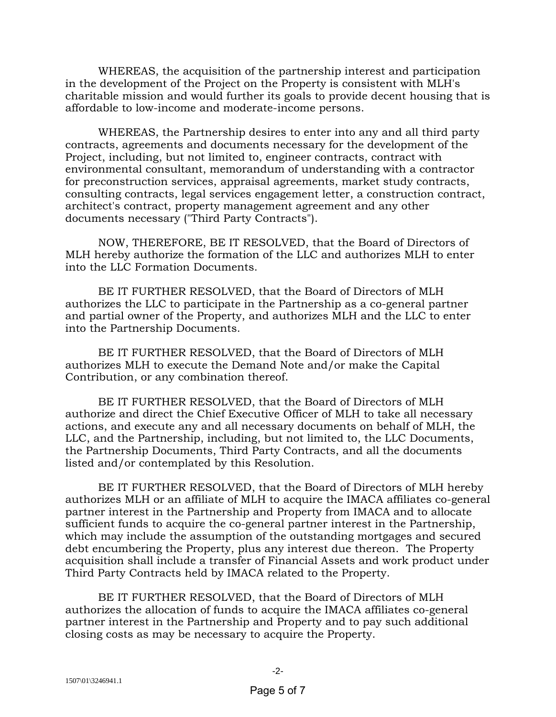WHEREAS, the acquisition of the partnership interest and participation in the development of the Project on the Property is consistent with MLH's charitable mission and would further its goals to provide decent housing that is affordable to low-income and moderate-income persons.

WHEREAS, the Partnership desires to enter into any and all third party contracts, agreements and documents necessary for the development of the Project, including, but not limited to, engineer contracts, contract with environmental consultant, memorandum of understanding with a contractor for preconstruction services, appraisal agreements, market study contracts, consulting contracts, legal services engagement letter, a construction contract, architect's contract, property management agreement and any other documents necessary ("Third Party Contracts").

NOW, THEREFORE, BE IT RESOLVED, that the Board of Directors of MLH hereby authorize the formation of the LLC and authorizes MLH to enter into the LLC Formation Documents.

BE IT FURTHER RESOLVED, that the Board of Directors of MLH authorizes the LLC to participate in the Partnership as a co-general partner and partial owner of the Property, and authorizes MLH and the LLC to enter into the Partnership Documents.

BE IT FURTHER RESOLVED, that the Board of Directors of MLH authorizes MLH to execute the Demand Note and/or make the Capital Contribution, or any combination thereof.

BE IT FURTHER RESOLVED, that the Board of Directors of MLH authorize and direct the Chief Executive Officer of MLH to take all necessary actions, and execute any and all necessary documents on behalf of MLH, the LLC, and the Partnership, including, but not limited to, the LLC Documents, the Partnership Documents, Third Party Contracts, and all the documents listed and/or contemplated by this Resolution.

BE IT FURTHER RESOLVED, that the Board of Directors of MLH hereby authorizes MLH or an affiliate of MLH to acquire the IMACA affiliates co-general partner interest in the Partnership and Property from IMACA and to allocate sufficient funds to acquire the co-general partner interest in the Partnership, which may include the assumption of the outstanding mortgages and secured debt encumbering the Property, plus any interest due thereon. The Property acquisition shall include a transfer of Financial Assets and work product under Third Party Contracts held by IMACA related to the Property.

BE IT FURTHER RESOLVED, that the Board of Directors of MLH authorizes the allocation of funds to acquire the IMACA affiliates co-general partner interest in the Partnership and Property and to pay such additional closing costs as may be necessary to acquire the Property.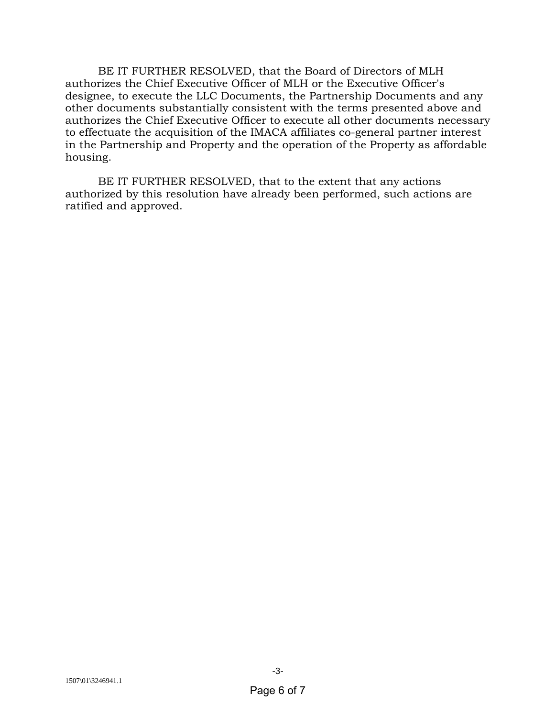BE IT FURTHER RESOLVED, that the Board of Directors of MLH authorizes the Chief Executive Officer of MLH or the Executive Officer's designee, to execute the LLC Documents, the Partnership Documents and any other documents substantially consistent with the terms presented above and authorizes the Chief Executive Officer to execute all other documents necessary to effectuate the acquisition of the IMACA affiliates co-general partner interest in the Partnership and Property and the operation of the Property as affordable housing.

BE IT FURTHER RESOLVED, that to the extent that any actions authorized by this resolution have already been performed, such actions are ratified and approved.